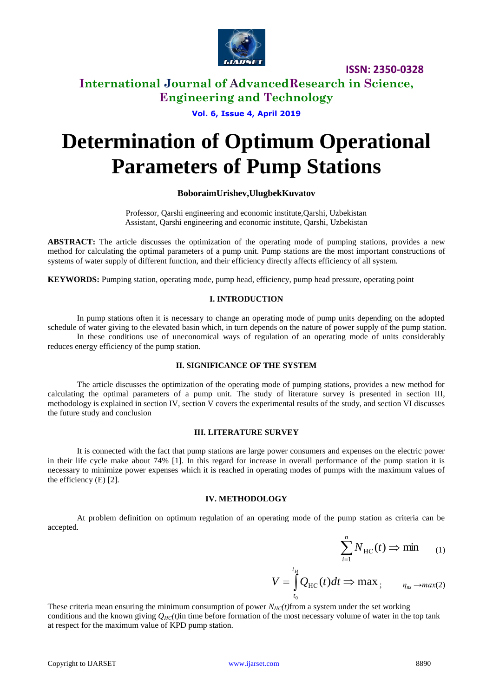

**ISSN: 2350-0328**

# **International Journal of AdvancedResearch in Science, Engineering and Technology**

**Vol. 6, Issue 4, April 2019**

# **Determination of Optimum Operational Parameters of Pump Stations**

# **BoboraimUrishev,UlugbekKuvatov**

Professor, Qarshi engineering and economic institute,Qarshi, Uzbekistan Assistant, Qarshi engineering and economic institute, Qarshi, Uzbekistan

**ABSTRACT:** The article discusses the optimization of the operating mode of pumping stations, provides a new method for calculating the optimal parameters of a pump unit. Pump stations are the most important constructions of systems of water supply of different function, and their efficiency directly affects efficiency of all system.

**KEYWORDS:** Pumping station, operating mode, pump head, efficiency, pump head pressure, operating point

## **I. INTRODUCTION**

In pump stations often it is necessary to change an operating mode of pump units depending on the adopted schedule of water giving to the elevated basin which, in turn depends on the nature of power supply of the pump station. In these conditions use of uneconomical ways of regulation of an operating mode of units considerably reduces energy efficiency of the pump station.

#### **II. SIGNIFICANCE OF THE SYSTEM**

The article discusses the optimization of the operating mode of pumping stations, provides a new method for calculating the optimal parameters of a pump unit. The study of literature survey is presented in section III, methodology is explained in section IV, section V covers the experimental results of the study, and section VI discusses the future study and conclusion

## **III. LITERATURE SURVEY**

It is connected with the fact that pump stations are large power consumers and expenses on the electric power in their life cycle make about 74% [1]. In this regard for increase in overall performance of the pump station it is necessary to minimize power expenses which it is reached in operating modes of pumps with the maximum values of the efficiency (E) [2].

### **IV. METHODOLOGY**

At problem definition on optimum regulation of an operating mode of the pump station as criteria can be accepted.

 $t<sub>H</sub>$ 

$$
\sum_{i=1}^{n} N_{\text{HC}}(t) \Rightarrow \min_{(1)}
$$

$$
V = \int_{t_0}^{t} Q_{\rm HC}(t) dt \Rightarrow \max_{t} \qquad \eta_{\rm ns} \rightarrow \max(2)
$$

These criteria mean ensuring the minimum consumption of power  $N_{HC}(t)$  from a system under the set working conditions and the known giving  $Q_{H\text{C}}(t)$ in time before formation of the most necessary volume of water in the top tank at respect for the maximum value of KPD pump station.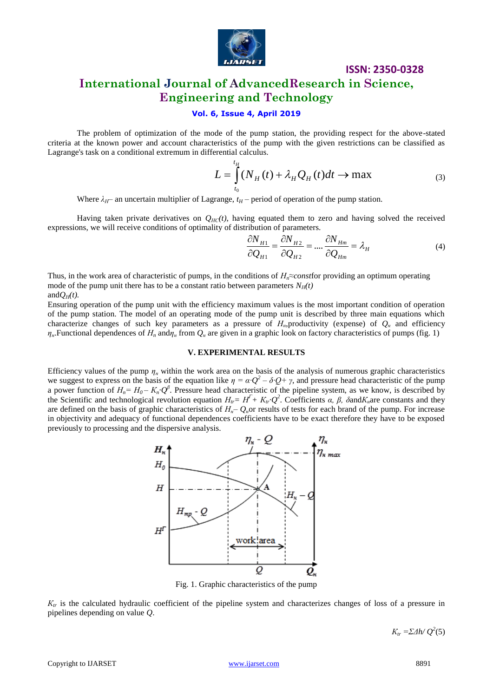

**ISSN: 2350-0328**

# **International Journal of AdvancedResearch in Science, Engineering and Technology**

# **Vol. 6, Issue 4, April 2019**

The problem of optimization of the mode of the pump station, the providing respect for the above-stated criteria at the known power and account characteristics of the pump with the given restrictions can be classified as Lagrange's task on a conditional extremum in differential calculus.

$$
L = \int_{t_0}^{t_H} (N_H(t) + \lambda_H Q_H(t) dt \to \max \tag{3}
$$

Where  $\lambda_H$ – an uncertain multiplier of Lagrange,  $t_H$ – period of operation of the pump station.

Having taken private derivatives on  $Q_{H\text{C}}(t)$ , having equated them to zero and having solved the received expressions, we will receive conditions of optimality of distribution of parameters.

$$
\frac{\partial N_{H1}}{\partial Q_{H1}} = \frac{\partial N_{H2}}{\partial Q_{H2}} = \dots \frac{\partial N_{Hm}}{\partial Q_{Hm}} = \lambda_H
$$
\n(4)

Thus, in the work area of characteristic of pumps, in the conditions of *Нn≈const*for providing an optimum operating mode of the pump unit there has to be a constant ratio between parameters  $N_H(t)$ and $Q_H(t)$ .

Ensuring operation of the pump unit with the efficiency maximum values is the most important condition of operation of the pump station. The model of an operating mode of the pump unit is described by three main equations which characterize changes of such key parameters as a pressure of  $H_n$ , productivity (expense) of  $Q_n$  and efficiency  $\eta$ <sup>*μ*</sup>. Functional dependences of  $H$ <sup>*n*</sup> and $\eta$ <sup>*μ*</sup> from  $Q$ <sup>*μ*</sup> are given in a graphic look on factory characteristics of pumps (fig. 1)

## **V. EXPERIMENTAL RESULTS**

Efficiency values of the pump  $\eta$ <sub>*n*</sub> within the work area on the basis of the analysis of numerous graphic characteristics we suggest to express on the basis of the equation like  $\eta = \alpha \cdot Q^2 - \delta \cdot Q + \gamma$ , and pressure head characteristic of the pump a power function of  $H_n = H_0 - K_n \cdot Q^\beta$ . Pressure head characteristic of the pipeline system, as we know, is described by the Scientific and technological revolution equation  $H_{tr} = H^T + K_{tr} Q^2$ . Coefficients *α, β, δ*and $K_n$ are constants and they are defined on the basis of graphic characteristics of  $H<sub>n</sub>$ –  $Q<sub>n</sub>$ or results of tests for each brand of the pump. For increase in objectivity and adequacy of functional dependences coefficients have to be exact therefore they have to be exposed previously to processing and the dispersive analysis.



Fig. 1. Graphic characteristics of the pump

 $K_{tr}$  is the calculated hydraulic coefficient of the pipeline system and characterizes changes of loss of a pressure in pipelines depending on value *Q*.

*K*<sub>tr</sub> =*ΣΔh*/ $Q^2$ (5)